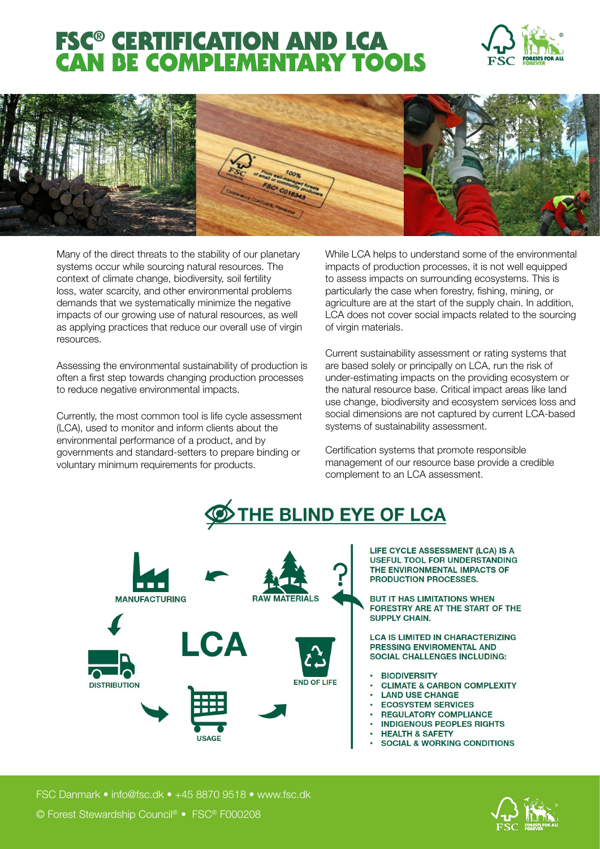## FSC® CERTIFICATION AND LCA CAN BE COMPLEMENTARY TOOLS





Many of the direct threats to the stability of our planetary systems occur while sourcing natural resources. The context of climate change, biodiversity, soil fertility loss, water scarcity, and other environmental problems demands that we systematically minimize the negative impacts of our growing use of natural resources, as well as applying practices that reduce our overall use of virgin resources.

Assessing the environmental sustainability of production is often a first step towards changing production processes to reduce negative environmental impacts.

Currently, the most common tool is life cycle assessment (LCA), used to monitor and inform clients about the environmental performance of a product, and by governments and standard-setters to prepare binding or voluntary minimum requirements for products.

While LCA helps to understand some of the environmental impacts of production processes, it is not well equipped to assess impacts on surrounding ecosystems. This is particularly the case when forestry, fishing, mining, or agriculture are at the start of the supply chain. In addition, LCA does not cover social impacts related to the sourcing of virgin materials.

Current sustainability assessment or rating systems that are based solely or principally on LCA, run the risk of under-estimating impacts on the providing ecosystem or the natural resource base. Critical impact areas like land use change, biodiversity and ecosystem services loss and social dimensions are not captured by current LCA-based systems of sustainability assessment.

Certification systems that promote responsible management of our resource base provide a credible complement to an LCA assessment.





LIFE CYCLE ASSESSMENT (LCA) IS A **USEFUL TOOL FOR UNDERSTANDING** THE ENVIRONMENTAL IMPACTS OF **PRODUCTION PROCESSES.** 

**BUT IT HAS LIMITATIONS WHEN** FORESTRY ARE AT THE START OF THE **SUPPLY CHAIN.** 

**LCA IS LIMITED IN CHARACTERIZING** PRESSING ENVIROMENTAL AND **SOCIAL CHALLENGES INCLUDING:** 

- **BIODIVERSITY**
- **CLIMATE & CARBON COMPLEXITY**
- **LAND USE CHANGE**
- **ECOSYSTEM SERVICES**
- **REGULATORY COMPLIANCE**
- **INDIGENOUS PEOPLES RIGHTS**
- **HEALTH & SAFETY**
- **SOCIAL & WORKING CONDITIONS**

FSC Danmark • info@fsc.dk • +45 8870 9518 • www.fsc.dk

© Forest Stewardship Council® • FSC® F000208